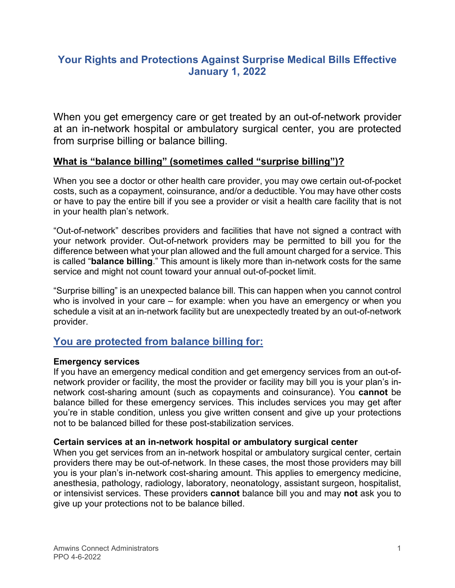# **Your Rights and Protections Against Surprise Medical Bills Effective January 1, 2022**

When you get emergency care or get treated by an out-of-network provider at an in-network hospital or ambulatory surgical center, you are protected from surprise billing or balance billing.

### **What is "balance billing" (sometimes called "surprise billing")?**

When you see a doctor or other health care provider, you may owe certain out-of-pocket costs, such as a copayment, coinsurance, and/or a deductible. You may have other costs or have to pay the entire bill if you see a provider or visit a health care facility that is not in your health plan's network.

"Out-of-network" describes providers and facilities that have not signed a contract with your network provider. Out-of-network providers may be permitted to bill you for the difference between what your plan allowed and the full amount charged for a service. This is called "**balance billing**." This amount is likely more than in-network costs for the same service and might not count toward your annual out-of-pocket limit.

"Surprise billing" is an unexpected balance bill. This can happen when you cannot control who is involved in your care – for example: when you have an emergency or when you schedule a visit at an in-network facility but are unexpectedly treated by an out-of-network provider.

## **You are protected from balance billing for:**

### **Emergency services**

If you have an emergency medical condition and get emergency services from an out-ofnetwork provider or facility, the most the provider or facility may bill you is your plan's innetwork cost-sharing amount (such as copayments and coinsurance). You **cannot** be balance billed for these emergency services. This includes services you may get after you're in stable condition, unless you give written consent and give up your protections not to be balanced billed for these post-stabilization services.

#### **Certain services at an in-network hospital or ambulatory surgical center**

When you get services from an in-network hospital or ambulatory surgical center, certain providers there may be out-of-network. In these cases, the most those providers may bill you is your plan's in-network cost-sharing amount. This applies to emergency medicine, anesthesia, pathology, radiology, laboratory, neonatology, assistant surgeon, hospitalist, or intensivist services. These providers **cannot** balance bill you and may **not** ask you to give up your protections not to be balance billed.